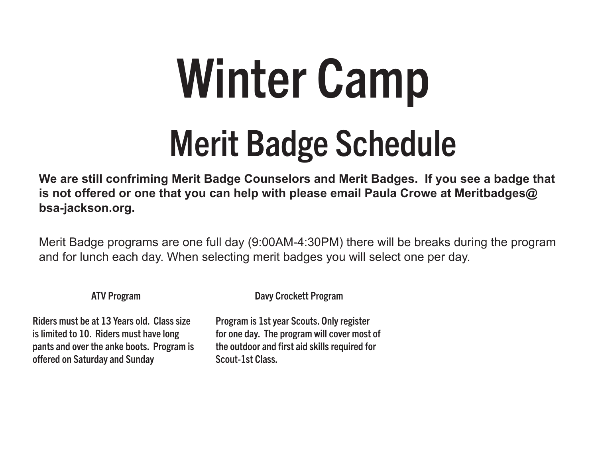# Winter Camp

## Merit Badge Schedule

**We are still confriming Merit Badge Counselors and Merit Badges. If you see a badge that is not offered or one that you can help with please email Paula Crowe at Meritbadges@ bsa-jackson.org.**

Merit Badge programs are one full day (9:00AM-4:30PM) there will be breaks during the program and for lunch each day. When selecting merit badges you will select one per day.

ATV Program

Davy Crockett Program

Riders must be at 13 Years old. Class size is limited to 10. Riders must have long pants and over the anke boots. Program is offered on Saturday and Sunday

Program is 1st year Scouts. Only register for one day. The program will cover most of the outdoor and first aid skills required for Scout-1st Class.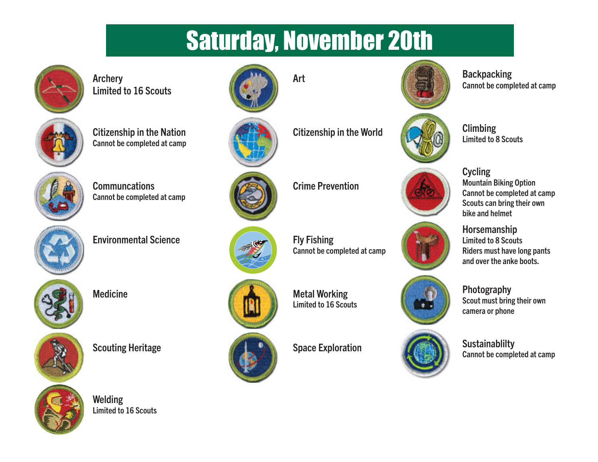## Saturday, November 20th



Archery Limited to 16 Scouts







**Communcations** Cannot be completed at camp



Environmental Science Fly Fishing





Scouting Heritage Sustainablilty Space Exploration Sustainablilty



Welding Limited to 16 Scouts





Citizenship in the World Climbing



Crime Prevention



Cannot be completed at camp



Medicine Medicine Metal Working Limited to 16 Scouts



Cannot be completed at camp



Limited to 8 Scouts



**Cycling** Mountain Biking Option Cannot be completed at camp Scouts can bring their own bike and helmet

**Horsemanship** Limited to 8 Scouts Riders must have long pants and over the anke boots.



Photography Scout must bring their own camera or phone

Cannot be completed at camp



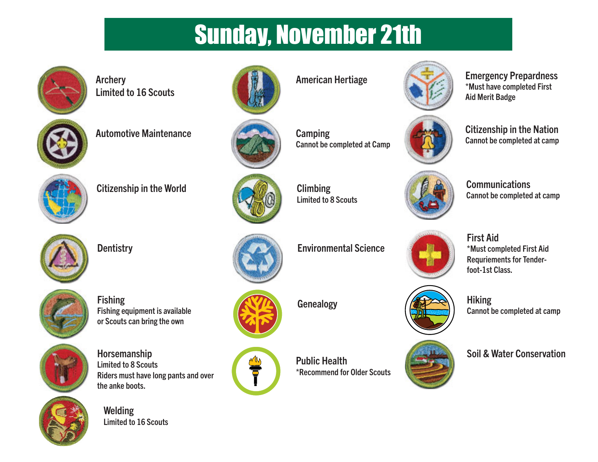### Sunday, November 21th



Archery Limited to 16 Scouts



Automotive Maintenance Camping



Citizenship in the World Climbing Climbing

Fishing equipment is available or Scouts can bring the own

Riders must have long pants and over



Fishing

Horsemanship Limited to 8 Scouts

the anke boots.

Welding

Limited to 16 Scouts







Cannot be completed at Camp



Limited to 8 Scouts

Dentistry **Environmental Science** 



Ť

Public Health \*Recommend for Older Scouts



American Hertiage Emergency Prepardness \*Must have completed First Aid Merit Badge



Citizenship in the Nation Cannot be completed at camp



**Communications** Cannot be completed at camp

\*Must completed First Aid Requriements for Tender-





First Aid

foot-1st Class.

Soil & Water Conservation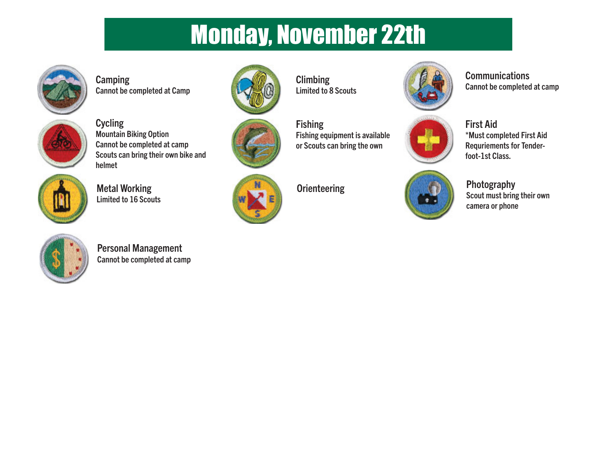### Monday, November 22th



**Camping** Cannot be completed at Camp



**Cycling** Mountain Biking Option Cannot be completed at camp Scouts can bring their own bike and helmet



Metal Working Limited to 16 Scouts



Personal Management Cannot be completed at camp



**Climbing** Limited to 8 Scouts



**Fishing** Fishing equipment is available or Scouts can bring the own



Scout must bring their own camera or phone

\*Must completed First Aid Requriements for Tender-

**Communications** 

First Aid

foot-1st Class.

Cannot be completed at camp